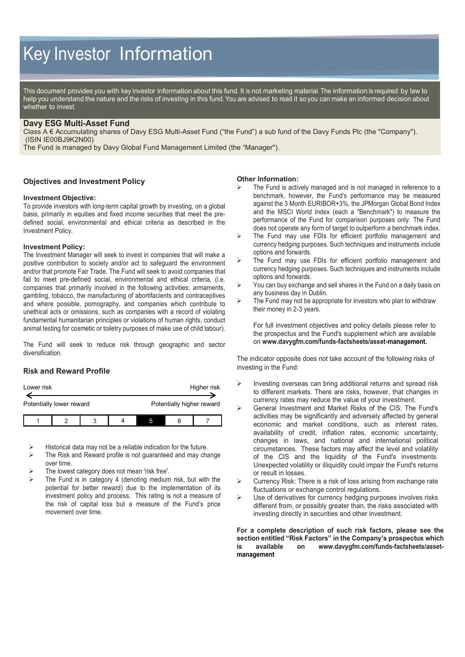# Key Investor Information

This document provides you with key investor information about this fund. It is not marketing material. The information is required by law to help you understand the nature and the risks of investing in this fund. You are advised to read it so you can make an informed decision about whether to invest.

## **Davy ESG Multi-Asset Fund**

Class A € Accumulating shares of Davy ESG Multi-Asset Fund ("the Fund") a sub fund of the Davy Funds Plc (the "Company"). (ISIN IE00BJ9K2N00)

The Fund is managed by Davy Global Fund Management Limited (the "Manager").

### **Objectives and Investment Policy**

#### **Investment Objective:**

To provide investors with long-term capital growth by investing, on a global basis, primarily in equities and fixed income securities that meet the predefined social, environmental and ethical criteria as described in the Investment Policy.

#### **Investment Policy:**

The Investment Manager will seek to invest in companies that will make a positive contribution to society and/or act to safeguard the environment and/or that promote Fair Trade. The Fund will seek to avoid companies that fail to meet pre-defined social, environmental and ethical criteria, (i.e. companies that primarily involved in the following activities: armaments, gambling, tobacco, the manufacturing of abortifacients and contraceptives and where possible, pornography, and companies which contribute to unethical acts or omissions, such as companies with a record of violating fundamental humanitarian principles or violations of human rights, conduct animal testing for cosmetic or toiletry purposes of make use of child labour).

The Fund will seek to reduce risk through geographic and sector diversification.

## **Risk and Reward Profile**

| Lower risk               |  |  |  |                           |  | Higher risk |
|--------------------------|--|--|--|---------------------------|--|-------------|
| Potentially lower reward |  |  |  | Potentially higher reward |  |             |
|                          |  |  |  |                           |  |             |

Historical data may not be a reliable indication for the future.

- $\triangleright$  The Risk and Reward profile is not guaranteed and may change over time.
- The lowest category does not mean 'risk free'.
- The Fund is in category 4 (denoting medium risk, but with the potential for better reward) due to the implementation of its investment policy and process. This rating is not a measure of the risk of capital loss but a measure of the Fund's price movement over time.

#### **Other Information:**

- The Fund is actively managed and is not managed in reference to a benchmark, however, the Fund's performance may be measured against the 3 Month EURIBOR+3%, the JPMorgan Global Bond Index and the MSCI World Index (each a "Benchmark") to measure the performance of the Fund for comparison purposes only. The Fund does not operate any form of target to outperform a benchmark index.
- $\triangleright$  The Fund may use FDIs for efficient portfolio management and currency hedging purposes. Such techniques and instruments include options and forwards.
- $\triangleright$  The Fund may use FDIs for efficient portfolio management and currency hedging purposes. Such techniques and instruments include options and forwards.
- You can buy exchange and sell shares in the Fund on a daily basis on any business day in Dublin.
- The Fund may not be appropriate for investors who plan to withdraw their money in 2-3 years.

For full investment objectives and policy details please refer to the prospectus and the Fund's supplement which are available on **www.davygfm.com/funds-factsheets/asset-management.**

The indicator opposite does not take account of the following risks of investing in the Fund:

- $\triangleright$  Investing overseas can bring additional returns and spread risk to different markets. There are risks, however, that changes in currency rates may reduce the value of your investment.
- General Investment and Market Risks of the CIS: The Fund's activities may be significantly and adversely affected by general economic and market conditions, such as interest rates, availability of credit, inflation rates, economic uncertainty, changes in laws, and national and international political circumstances. These factors may affect the level and volatility of the CIS and the liquidity of the Fund's investments. Unexpected volatility or illiquidity could impair the Fund's returns or result in losses.
- Currency Risk: There is a risk of loss arising from exchange rate fluctuations or exchange control regulations.
- $\triangleright$  Use of derivatives for currency hedging purposes involves risks different from, or possibly greater than, the risks associated with investing directly in securities and other investment.

**For a complete description of such risk factors, please see the section entitled "Risk Factors" in the Company's prospectus which is available on www.davygfm.com/funds-factsheets/assetmanagement**